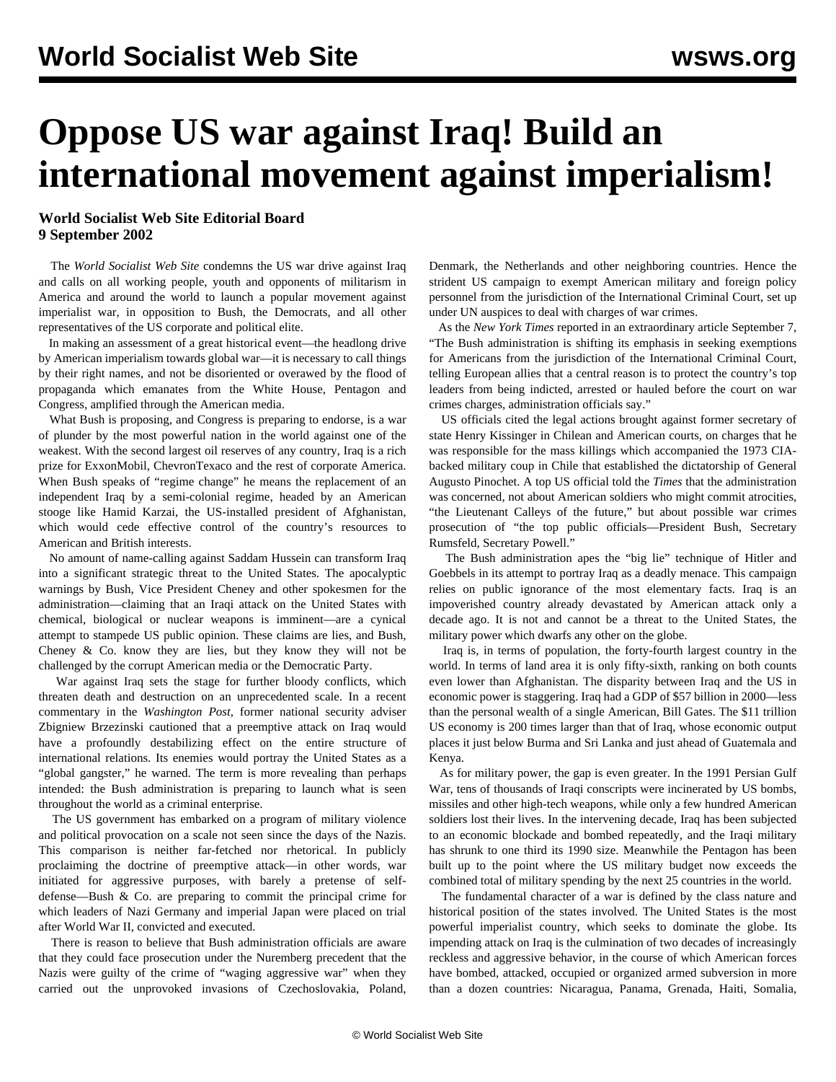# **Oppose US war against Iraq! Build an international movement against imperialism!**

### **World Socialist Web Site Editorial Board 9 September 2002**

 The *World Socialist Web Site* condemns the US war drive against Iraq and calls on all working people, youth and opponents of militarism in America and around the world to launch a popular movement against imperialist war, in opposition to Bush, the Democrats, and all other representatives of the US corporate and political elite.

 In making an assessment of a great historical event—the headlong drive by American imperialism towards global war—it is necessary to call things by their right names, and not be disoriented or overawed by the flood of propaganda which emanates from the White House, Pentagon and Congress, amplified through the American media.

 What Bush is proposing, and Congress is preparing to endorse, is a war of plunder by the most powerful nation in the world against one of the weakest. With the second largest oil reserves of any country, Iraq is a rich prize for ExxonMobil, ChevronTexaco and the rest of corporate America. When Bush speaks of "regime change" he means the replacement of an independent Iraq by a semi-colonial regime, headed by an American stooge like Hamid Karzai, the US-installed president of Afghanistan, which would cede effective control of the country's resources to American and British interests.

 No amount of name-calling against Saddam Hussein can transform Iraq into a significant strategic threat to the United States. The apocalyptic warnings by Bush, Vice President Cheney and other spokesmen for the administration—claiming that an Iraqi attack on the United States with chemical, biological or nuclear weapons is imminent—are a cynical attempt to stampede US public opinion. These claims are lies, and Bush, Cheney & Co. know they are lies, but they know they will not be challenged by the corrupt American media or the Democratic Party.

 War against Iraq sets the stage for further bloody conflicts, which threaten death and destruction on an unprecedented scale. In a recent commentary in the *Washington Post*, former national security adviser Zbigniew Brzezinski cautioned that a preemptive attack on Iraq would have a profoundly destabilizing effect on the entire structure of international relations. Its enemies would portray the United States as a "global gangster," he warned. The term is more revealing than perhaps intended: the Bush administration is preparing to launch what is seen throughout the world as a criminal enterprise.

 The US government has embarked on a program of military violence and political provocation on a scale not seen since the days of the Nazis. This comparison is neither far-fetched nor rhetorical. In publicly proclaiming the doctrine of preemptive attack—in other words, war initiated for aggressive purposes, with barely a pretense of selfdefense—Bush & Co. are preparing to commit the principal crime for which leaders of Nazi Germany and imperial Japan were placed on trial after World War II, convicted and executed.

 There is reason to believe that Bush administration officials are aware that they could face prosecution under the Nuremberg precedent that the Nazis were guilty of the crime of "waging aggressive war" when they carried out the unprovoked invasions of Czechoslovakia, Poland,

Denmark, the Netherlands and other neighboring countries. Hence the strident US campaign to exempt American military and foreign policy personnel from the jurisdiction of the International Criminal Court, set up under UN auspices to deal with charges of war crimes.

 As the *New York Times* reported in an extraordinary article September 7, "The Bush administration is shifting its emphasis in seeking exemptions for Americans from the jurisdiction of the International Criminal Court, telling European allies that a central reason is to protect the country's top leaders from being indicted, arrested or hauled before the court on war crimes charges, administration officials say."

 US officials cited the legal actions brought against former secretary of state Henry Kissinger in Chilean and American courts, on charges that he was responsible for the mass killings which accompanied the 1973 CIAbacked military coup in Chile that established the dictatorship of General Augusto Pinochet. A top US official told the *Times* that the administration was concerned, not about American soldiers who might commit atrocities, "the Lieutenant Calleys of the future," but about possible war crimes prosecution of "the top public officials—President Bush, Secretary Rumsfeld, Secretary Powell."

 The Bush administration apes the "big lie" technique of Hitler and Goebbels in its attempt to portray Iraq as a deadly menace. This campaign relies on public ignorance of the most elementary facts. Iraq is an impoverished country already devastated by American attack only a decade ago. It is not and cannot be a threat to the United States, the military power which dwarfs any other on the globe.

 Iraq is, in terms of population, the forty-fourth largest country in the world. In terms of land area it is only fifty-sixth, ranking on both counts even lower than Afghanistan. The disparity between Iraq and the US in economic power is staggering. Iraq had a GDP of \$57 billion in 2000—less than the personal wealth of a single American, Bill Gates. The \$11 trillion US economy is 200 times larger than that of Iraq, whose economic output places it just below Burma and Sri Lanka and just ahead of Guatemala and Kenya.

 As for military power, the gap is even greater. In the 1991 Persian Gulf War, tens of thousands of Iraqi conscripts were incinerated by US bombs, missiles and other high-tech weapons, while only a few hundred American soldiers lost their lives. In the intervening decade, Iraq has been subjected to an economic blockade and bombed repeatedly, and the Iraqi military has shrunk to one third its 1990 size. Meanwhile the Pentagon has been built up to the point where the US military budget now exceeds the combined total of military spending by the next 25 countries in the world.

 The fundamental character of a war is defined by the class nature and historical position of the states involved. The United States is the most powerful imperialist country, which seeks to dominate the globe. Its impending attack on Iraq is the culmination of two decades of increasingly reckless and aggressive behavior, in the course of which American forces have bombed, attacked, occupied or organized armed subversion in more than a dozen countries: Nicaragua, Panama, Grenada, Haiti, Somalia,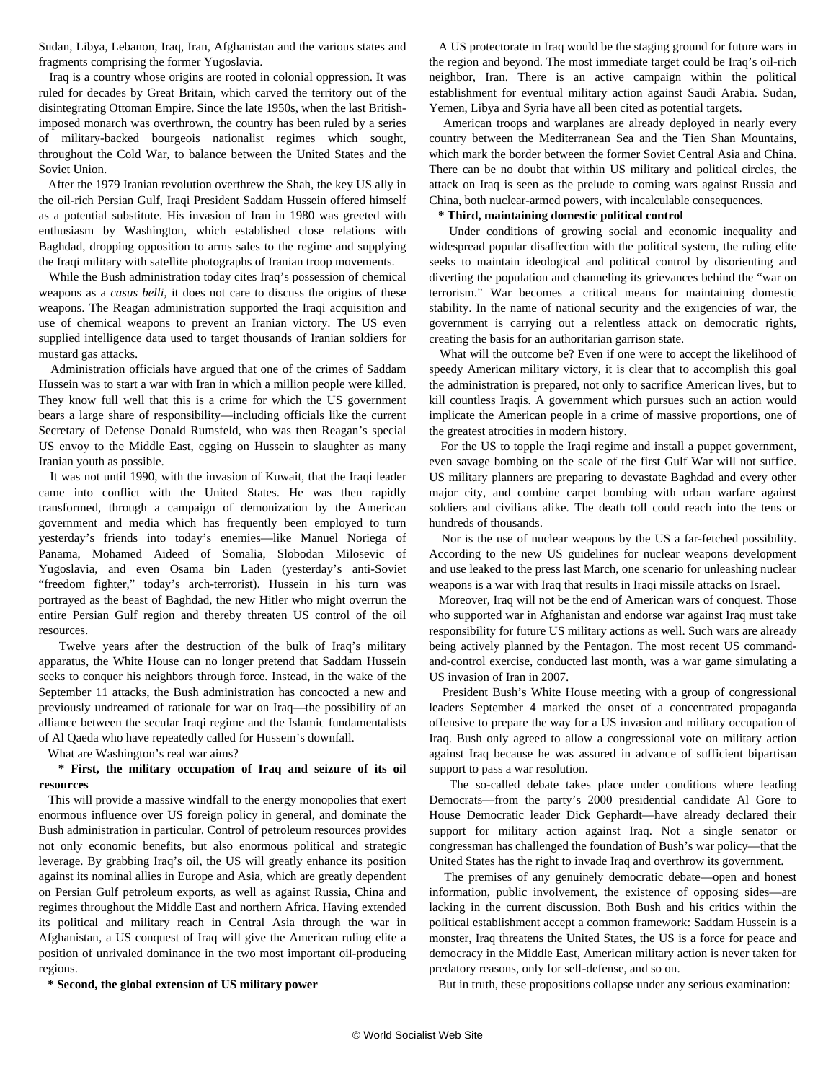Sudan, Libya, Lebanon, Iraq, Iran, Afghanistan and the various states and fragments comprising the former Yugoslavia.

 Iraq is a country whose origins are rooted in colonial oppression. It was ruled for decades by Great Britain, which carved the territory out of the disintegrating Ottoman Empire. Since the late 1950s, when the last Britishimposed monarch was overthrown, the country has been ruled by a series of military-backed bourgeois nationalist regimes which sought, throughout the Cold War, to balance between the United States and the Soviet Union.

 After the 1979 Iranian revolution overthrew the Shah, the key US ally in the oil-rich Persian Gulf, Iraqi President Saddam Hussein offered himself as a potential substitute. His invasion of Iran in 1980 was greeted with enthusiasm by Washington, which established close relations with Baghdad, dropping opposition to arms sales to the regime and supplying the Iraqi military with satellite photographs of Iranian troop movements.

 While the Bush administration today cites Iraq's possession of chemical weapons as a *casus belli*, it does not care to discuss the origins of these weapons. The Reagan administration supported the Iraqi acquisition and use of chemical weapons to prevent an Iranian victory. The US even supplied intelligence data used to target thousands of Iranian soldiers for mustard gas attacks.

 Administration officials have argued that one of the crimes of Saddam Hussein was to start a war with Iran in which a million people were killed. They know full well that this is a crime for which the US government bears a large share of responsibility—including officials like the current Secretary of Defense Donald Rumsfeld, who was then Reagan's special US envoy to the Middle East, egging on Hussein to slaughter as many Iranian youth as possible.

 It was not until 1990, with the invasion of Kuwait, that the Iraqi leader came into conflict with the United States. He was then rapidly transformed, through a campaign of demonization by the American government and media which has frequently been employed to turn yesterday's friends into today's enemies—like Manuel Noriega of Panama, Mohamed Aideed of Somalia, Slobodan Milosevic of Yugoslavia, and even Osama bin Laden (yesterday's anti-Soviet "freedom fighter," today's arch-terrorist). Hussein in his turn was portrayed as the beast of Baghdad, the new Hitler who might overrun the entire Persian Gulf region and thereby threaten US control of the oil resources.

 Twelve years after the destruction of the bulk of Iraq's military apparatus, the White House can no longer pretend that Saddam Hussein seeks to conquer his neighbors through force. Instead, in the wake of the September 11 attacks, the Bush administration has concocted a new and previously undreamed of rationale for war on Iraq—the possibility of an alliance between the secular Iraqi regime and the Islamic fundamentalists of Al Qaeda who have repeatedly called for Hussein's downfall.

What are Washington's real war aims?

#### **\* First, the military occupation of Iraq and seizure of its oil resources**

 This will provide a massive windfall to the energy monopolies that exert enormous influence over US foreign policy in general, and dominate the Bush administration in particular. Control of petroleum resources provides not only economic benefits, but also enormous political and strategic leverage. By grabbing Iraq's oil, the US will greatly enhance its position against its nominal allies in Europe and Asia, which are greatly dependent on Persian Gulf petroleum exports, as well as against Russia, China and regimes throughout the Middle East and northern Africa. Having extended its political and military reach in Central Asia through the war in Afghanistan, a US conquest of Iraq will give the American ruling elite a position of unrivaled dominance in the two most important oil-producing regions.

**\* Second, the global extension of US military power**

 A US protectorate in Iraq would be the staging ground for future wars in the region and beyond. The most immediate target could be Iraq's oil-rich neighbor, Iran. There is an active campaign within the political establishment for eventual military action against Saudi Arabia. Sudan, Yemen, Libya and Syria have all been cited as potential targets.

 American troops and warplanes are already deployed in nearly every country between the Mediterranean Sea and the Tien Shan Mountains, which mark the border between the former Soviet Central Asia and China. There can be no doubt that within US military and political circles, the attack on Iraq is seen as the prelude to coming wars against Russia and China, both nuclear-armed powers, with incalculable consequences.

#### **\* Third, maintaining domestic political control**

 Under conditions of growing social and economic inequality and widespread popular disaffection with the political system, the ruling elite seeks to maintain ideological and political control by disorienting and diverting the population and channeling its grievances behind the "war on terrorism." War becomes a critical means for maintaining domestic stability. In the name of national security and the exigencies of war, the government is carrying out a relentless attack on democratic rights, creating the basis for an authoritarian garrison state.

 What will the outcome be? Even if one were to accept the likelihood of speedy American military victory, it is clear that to accomplish this goal the administration is prepared, not only to sacrifice American lives, but to kill countless Iraqis. A government which pursues such an action would implicate the American people in a crime of massive proportions, one of the greatest atrocities in modern history.

 For the US to topple the Iraqi regime and install a puppet government, even savage bombing on the scale of the first Gulf War will not suffice. US military planners are preparing to devastate Baghdad and every other major city, and combine carpet bombing with urban warfare against soldiers and civilians alike. The death toll could reach into the tens or hundreds of thousands.

 Nor is the use of nuclear weapons by the US a far-fetched possibility. According to the new US guidelines for nuclear weapons development and use leaked to the press last March, one scenario for unleashing nuclear weapons is a war with Iraq that results in Iraqi missile attacks on Israel.

 Moreover, Iraq will not be the end of American wars of conquest. Those who supported war in Afghanistan and endorse war against Iraq must take responsibility for future US military actions as well. Such wars are already being actively planned by the Pentagon. The most recent US commandand-control exercise, conducted last month, was a war game simulating a US invasion of Iran in 2007.

 President Bush's White House meeting with a group of congressional leaders September 4 marked the onset of a concentrated propaganda offensive to prepare the way for a US invasion and military occupation of Iraq. Bush only agreed to allow a congressional vote on military action against Iraq because he was assured in advance of sufficient bipartisan support to pass a war resolution.

 The so-called debate takes place under conditions where leading Democrats—from the party's 2000 presidential candidate Al Gore to House Democratic leader Dick Gephardt—have already declared their support for military action against Iraq. Not a single senator or congressman has challenged the foundation of Bush's war policy—that the United States has the right to invade Iraq and overthrow its government.

 The premises of any genuinely democratic debate—open and honest information, public involvement, the existence of opposing sides—are lacking in the current discussion. Both Bush and his critics within the political establishment accept a common framework: Saddam Hussein is a monster, Iraq threatens the United States, the US is a force for peace and democracy in the Middle East, American military action is never taken for predatory reasons, only for self-defense, and so on.

But in truth, these propositions collapse under any serious examination: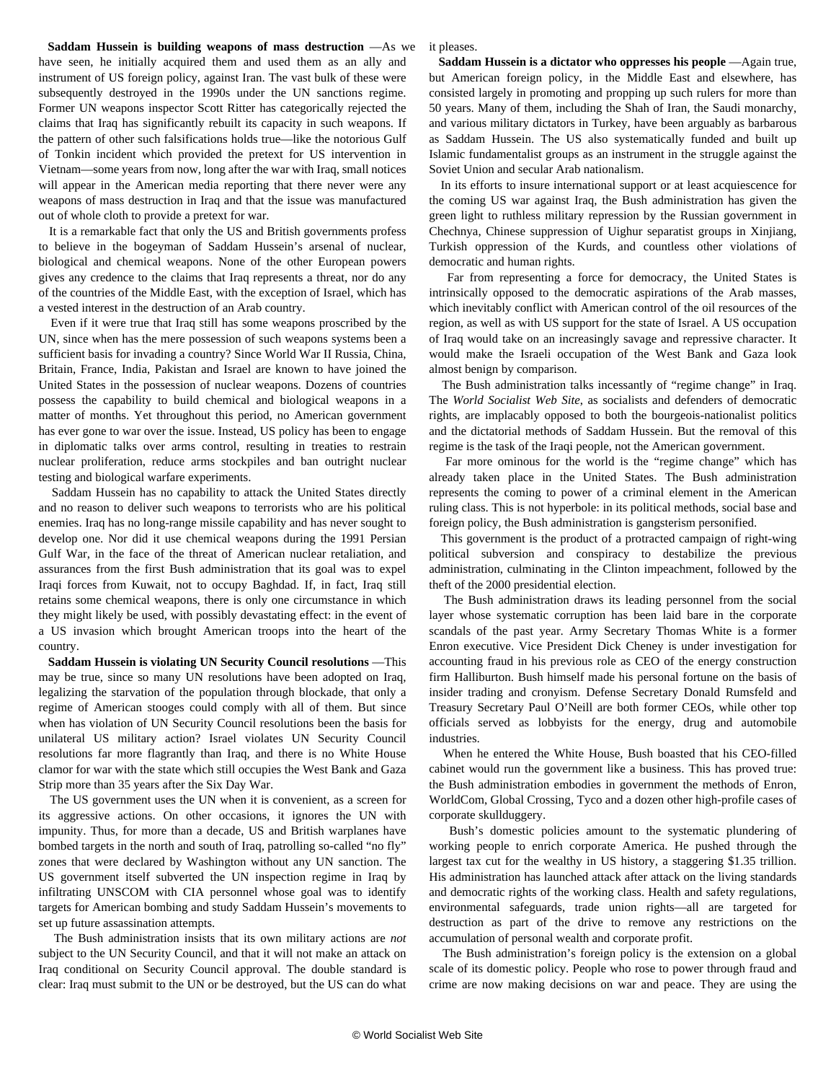**Saddam Hussein is building weapons of mass destruction** —As we have seen, he initially acquired them and used them as an ally and instrument of US foreign policy, against Iran. The vast bulk of these were subsequently destroyed in the 1990s under the UN sanctions regime. Former UN weapons inspector Scott Ritter has categorically rejected the claims that Iraq has significantly rebuilt its capacity in such weapons. If the pattern of other such falsifications holds true—like the notorious Gulf of Tonkin incident which provided the pretext for US intervention in Vietnam—some years from now, long after the war with Iraq, small notices will appear in the American media reporting that there never were any weapons of mass destruction in Iraq and that the issue was manufactured out of whole cloth to provide a pretext for war.

 It is a remarkable fact that only the US and British governments profess to believe in the bogeyman of Saddam Hussein's arsenal of nuclear, biological and chemical weapons. None of the other European powers gives any credence to the claims that Iraq represents a threat, nor do any of the countries of the Middle East, with the exception of Israel, which has a vested interest in the destruction of an Arab country.

 Even if it were true that Iraq still has some weapons proscribed by the UN, since when has the mere possession of such weapons systems been a sufficient basis for invading a country? Since World War II Russia, China, Britain, France, India, Pakistan and Israel are known to have joined the United States in the possession of nuclear weapons. Dozens of countries possess the capability to build chemical and biological weapons in a matter of months. Yet throughout this period, no American government has ever gone to war over the issue. Instead, US policy has been to engage in diplomatic talks over arms control, resulting in treaties to restrain nuclear proliferation, reduce arms stockpiles and ban outright nuclear testing and biological warfare experiments.

 Saddam Hussein has no capability to attack the United States directly and no reason to deliver such weapons to terrorists who are his political enemies. Iraq has no long-range missile capability and has never sought to develop one. Nor did it use chemical weapons during the 1991 Persian Gulf War, in the face of the threat of American nuclear retaliation, and assurances from the first Bush administration that its goal was to expel Iraqi forces from Kuwait, not to occupy Baghdad. If, in fact, Iraq still retains some chemical weapons, there is only one circumstance in which they might likely be used, with possibly devastating effect: in the event of a US invasion which brought American troops into the heart of the country.

 **Saddam Hussein is violating UN Security Council resolutions** —This may be true, since so many UN resolutions have been adopted on Iraq, legalizing the starvation of the population through blockade, that only a regime of American stooges could comply with all of them. But since when has violation of UN Security Council resolutions been the basis for unilateral US military action? Israel violates UN Security Council resolutions far more flagrantly than Iraq, and there is no White House clamor for war with the state which still occupies the West Bank and Gaza Strip more than 35 years after the Six Day War.

 The US government uses the UN when it is convenient, as a screen for its aggressive actions. On other occasions, it ignores the UN with impunity. Thus, for more than a decade, US and British warplanes have bombed targets in the north and south of Iraq, patrolling so-called "no fly" zones that were declared by Washington without any UN sanction. The US government itself subverted the UN inspection regime in Iraq by infiltrating UNSCOM with CIA personnel whose goal was to identify targets for American bombing and study Saddam Hussein's movements to set up future assassination attempts.

 The Bush administration insists that its own military actions are *not* subject to the UN Security Council, and that it will not make an attack on Iraq conditional on Security Council approval. The double standard is clear: Iraq must submit to the UN or be destroyed, but the US can do what it pleases.

 **Saddam Hussein is a dictator who oppresses his people** —Again true, but American foreign policy, in the Middle East and elsewhere, has consisted largely in promoting and propping up such rulers for more than 50 years. Many of them, including the Shah of Iran, the Saudi monarchy, and various military dictators in Turkey, have been arguably as barbarous as Saddam Hussein. The US also systematically funded and built up Islamic fundamentalist groups as an instrument in the struggle against the Soviet Union and secular Arab nationalism.

 In its efforts to insure international support or at least acquiescence for the coming US war against Iraq, the Bush administration has given the green light to ruthless military repression by the Russian government in Chechnya, Chinese suppression of Uighur separatist groups in Xinjiang, Turkish oppression of the Kurds, and countless other violations of democratic and human rights.

 Far from representing a force for democracy, the United States is intrinsically opposed to the democratic aspirations of the Arab masses, which inevitably conflict with American control of the oil resources of the region, as well as with US support for the state of Israel. A US occupation of Iraq would take on an increasingly savage and repressive character. It would make the Israeli occupation of the West Bank and Gaza look almost benign by comparison.

 The Bush administration talks incessantly of "regime change" in Iraq. The *World Socialist Web Site*, as socialists and defenders of democratic rights, are implacably opposed to both the bourgeois-nationalist politics and the dictatorial methods of Saddam Hussein. But the removal of this regime is the task of the Iraqi people, not the American government.

 Far more ominous for the world is the "regime change" which has already taken place in the United States. The Bush administration represents the coming to power of a criminal element in the American ruling class. This is not hyperbole: in its political methods, social base and foreign policy, the Bush administration is gangsterism personified.

 This government is the product of a protracted campaign of right-wing political subversion and conspiracy to destabilize the previous administration, culminating in the Clinton impeachment, followed by the theft of the 2000 presidential election.

 The Bush administration draws its leading personnel from the social layer whose systematic corruption has been laid bare in the corporate scandals of the past year. Army Secretary Thomas White is a former Enron executive. Vice President Dick Cheney is under investigation for accounting fraud in his previous role as CEO of the energy construction firm Halliburton. Bush himself made his personal fortune on the basis of insider trading and cronyism. Defense Secretary Donald Rumsfeld and Treasury Secretary Paul O'Neill are both former CEOs, while other top officials served as lobbyists for the energy, drug and automobile industries.

 When he entered the White House, Bush boasted that his CEO-filled cabinet would run the government like a business. This has proved true: the Bush administration embodies in government the methods of Enron, WorldCom, Global Crossing, Tyco and a dozen other high-profile cases of corporate skullduggery.

 Bush's domestic policies amount to the systematic plundering of working people to enrich corporate America. He pushed through the largest tax cut for the wealthy in US history, a staggering \$1.35 trillion. His administration has launched attack after attack on the living standards and democratic rights of the working class. Health and safety regulations, environmental safeguards, trade union rights—all are targeted for destruction as part of the drive to remove any restrictions on the accumulation of personal wealth and corporate profit.

 The Bush administration's foreign policy is the extension on a global scale of its domestic policy. People who rose to power through fraud and crime are now making decisions on war and peace. They are using the